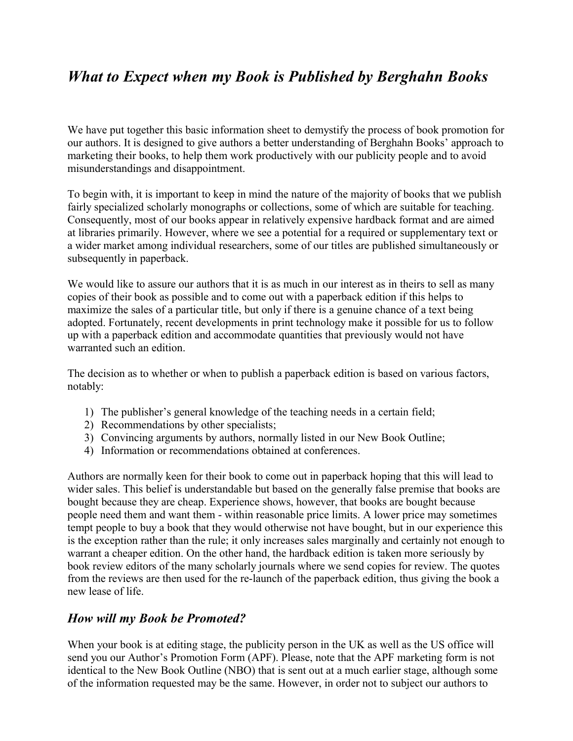## *What to Expect when my Book is Published by Berghahn Books*

We have put together this basic information sheet to demystify the process of book promotion for our authors. It is designed to give authors a better understanding of Berghahn Books' approach to marketing their books, to help them work productively with our publicity people and to avoid misunderstandings and disappointment.

To begin with, it is important to keep in mind the nature of the majority of books that we publish fairly specialized scholarly monographs or collections, some of which are suitable for teaching. Consequently, most of our books appear in relatively expensive hardback format and are aimed at libraries primarily. However, where we see a potential for a required or supplementary text or a wider market among individual researchers, some of our titles are published simultaneously or subsequently in paperback.

We would like to assure our authors that it is as much in our interest as in theirs to sell as many copies of their book as possible and to come out with a paperback edition if this helps to maximize the sales of a particular title, but only if there is a genuine chance of a text being adopted. Fortunately, recent developments in print technology make it possible for us to follow up with a paperback edition and accommodate quantities that previously would not have warranted such an edition.

The decision as to whether or when to publish a paperback edition is based on various factors, notably:

- 1) The publisher's general knowledge of the teaching needs in a certain field;
- 2) Recommendations by other specialists;
- 3) Convincing arguments by authors, normally listed in our New Book Outline;
- 4) Information or recommendations obtained at conferences.

Authors are normally keen for their book to come out in paperback hoping that this will lead to wider sales. This belief is understandable but based on the generally false premise that books are bought because they are cheap. Experience shows, however, that books are bought because people need them and want them - within reasonable price limits. A lower price may sometimes tempt people to buy a book that they would otherwise not have bought, but in our experience this is the exception rather than the rule; it only increases sales marginally and certainly not enough to warrant a cheaper edition. On the other hand, the hardback edition is taken more seriously by book review editors of the many scholarly journals where we send copies for review. The quotes from the reviews are then used for the re-launch of the paperback edition, thus giving the book a new lease of life.

## *How will my Book be Promoted?*

When your book is at editing stage, the publicity person in the UK as well as the US office will send you our Author's Promotion Form (APF). Please, note that the APF marketing form is not identical to the New Book Outline (NBO) that is sent out at a much earlier stage, although some of the information requested may be the same. However, in order not to subject our authors to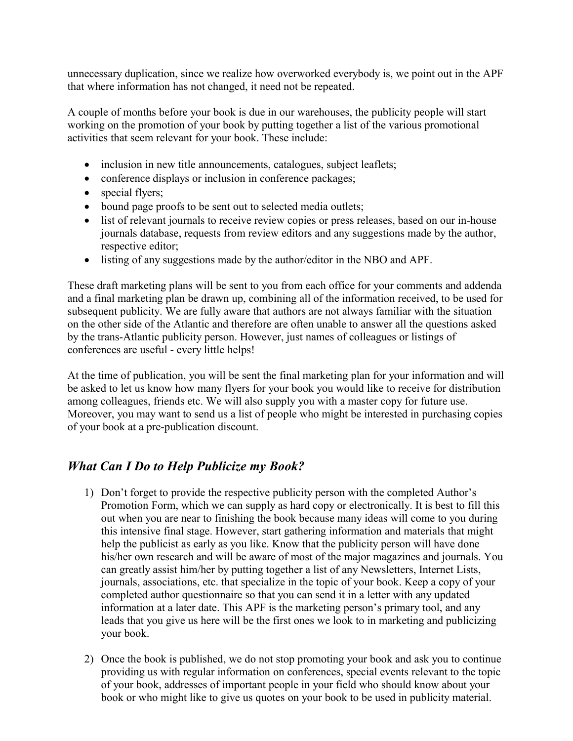unnecessary duplication, since we realize how overworked everybody is, we point out in the APF that where information has not changed, it need not be repeated.

A couple of months before your book is due in our warehouses, the publicity people will start working on the promotion of your book by putting together a list of the various promotional activities that seem relevant for your book. These include:

- inclusion in new title announcements, catalogues, subject leaflets;
- conference displays or inclusion in conference packages;
- special flyers;
- bound page proofs to be sent out to selected media outlets;
- list of relevant journals to receive review copies or press releases, based on our in-house journals database, requests from review editors and any suggestions made by the author, respective editor;
- listing of any suggestions made by the author/editor in the NBO and APF.

These draft marketing plans will be sent to you from each office for your comments and addenda and a final marketing plan be drawn up, combining all of the information received, to be used for subsequent publicity. We are fully aware that authors are not always familiar with the situation on the other side of the Atlantic and therefore are often unable to answer all the questions asked by the trans-Atlantic publicity person. However, just names of colleagues or listings of conferences are useful - every little helps!

At the time of publication, you will be sent the final marketing plan for your information and will be asked to let us know how many flyers for your book you would like to receive for distribution among colleagues, friends etc. We will also supply you with a master copy for future use. Moreover, you may want to send us a list of people who might be interested in purchasing copies of your book at a pre-publication discount.

## *What Can I Do to Help Publicize my Book?*

- 1) Don't forget to provide the respective publicity person with the completed Author's Promotion Form, which we can supply as hard copy or electronically. It is best to fill this out when you are near to finishing the book because many ideas will come to you during this intensive final stage. However, start gathering information and materials that might help the publicist as early as you like. Know that the publicity person will have done his/her own research and will be aware of most of the major magazines and journals. You can greatly assist him/her by putting together a list of any Newsletters, Internet Lists, journals, associations, etc. that specialize in the topic of your book. Keep a copy of your completed author questionnaire so that you can send it in a letter with any updated information at a later date. This APF is the marketing person's primary tool, and any leads that you give us here will be the first ones we look to in marketing and publicizing your book.
- 2) Once the book is published, we do not stop promoting your book and ask you to continue providing us with regular information on conferences, special events relevant to the topic of your book, addresses of important people in your field who should know about your book or who might like to give us quotes on your book to be used in publicity material.